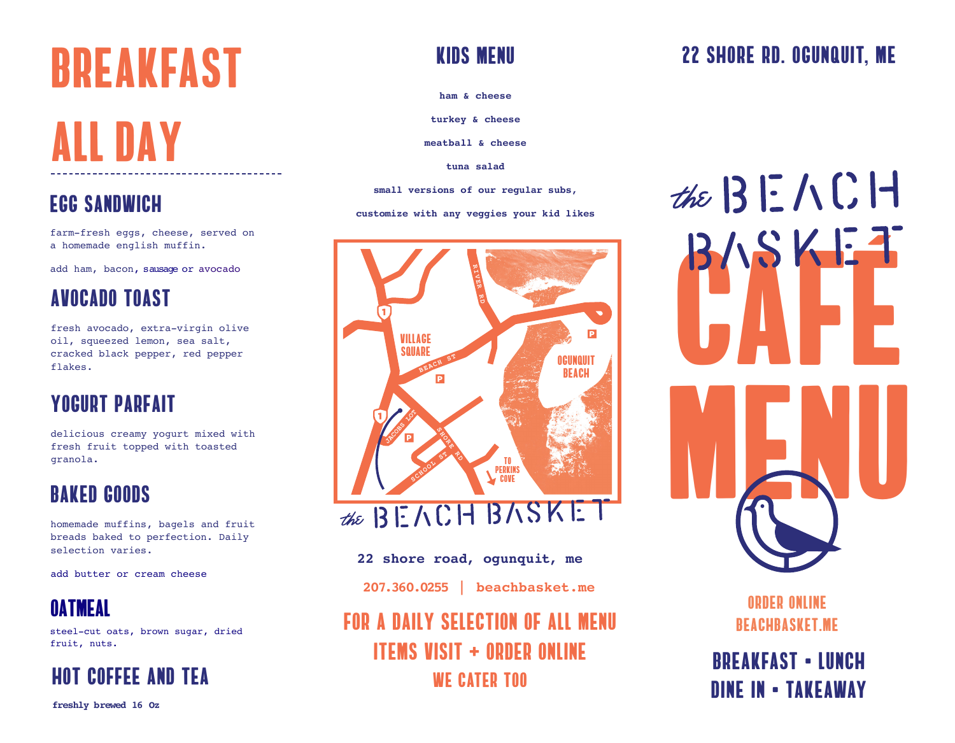# Breakfast

# all day

farm-fresh eggs, cheese, served on a homemade english muffin.

add ham, bacon, sausage or avocado

## avocado toast

fresh avocado, extra-virgin olive oil, squeezed lemon, sea salt, cracked black pepper, red pepper flakes.

## yogurt parfait

delicious creamy yogurt mixed with fresh fruit topped with toasted granola.

## baked goods

homemade muffins, bagels and fruit breads baked to perfection. Daily selection varies.

add butter or cream cheese

## Oatmeal

steel-cut oats, brown sugar, dried fruit, nuts.



**freshly brewed 16 Oz**

## Kids menu

**ham & cheese**

**turkey & cheese**

**meatball & cheese**

**tuna salad**

**small versions of our regular subs, COC SANDWICH** entertainty of the segment with  $\frac{1}{2}$  and  $\frac{1}{2}$  everywhere  $\frac{1}{2}$  everywhere  $\frac{1}{2}$  everywhere  $\frac{1}{2}$  is the set of  $\frac{1}{2}$  is the set of  $\frac{1}{2}$  is the set of  $\frac{1}{2}$  is the set of  $\$ 



### **22 shore road, ogunquit, me**

**207.360.0255 | beachbasket.me**

for a daily selection of all menu items visit + order online WE CATER TOO

## 22 shore rd. ogunquit, me

the  $BENCH$  $B/SSKE-1$ MENU

> order online beachbasket.me

breakfast • lunch dine in • takeaway